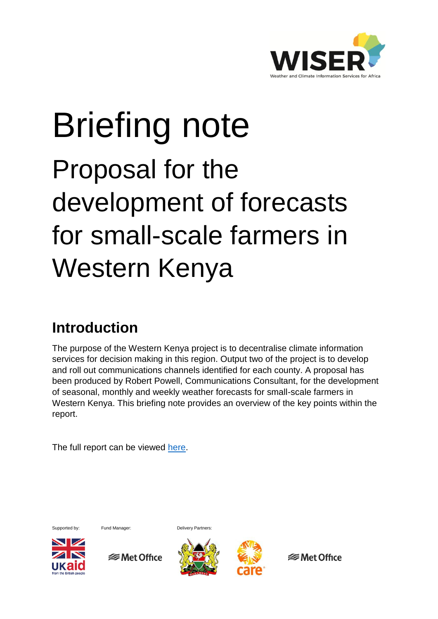

# Briefing note Proposal for the development of forecasts for small-scale farmers in Western Kenya

### **Introduction**

The purpose of the Western Kenya project is to decentralise climate information services for decision making in this region. Output two of the project is to develop and roll out communications channels identified for each county. A proposal has been produced by Robert Powell, Communications Consultant, for the development of seasonal, monthly and weekly weather forecasts for small-scale farmers in Western Kenya. This briefing note provides an overview of the key points within the report.

The full report can be viewed [here.](http://www.metoffice.gov.uk/binaries/content/assets/mohippo/pdf/international/wiser/seasonalmonthlyweeklyforecasts_farmers.pdf)



**SMet Office** 



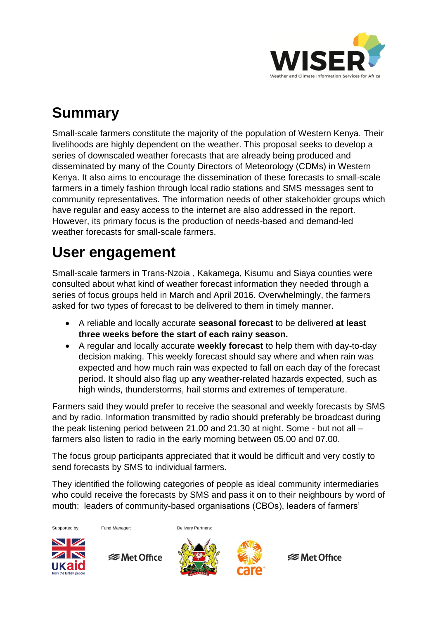

# **Summary**

Small-scale farmers constitute the majority of the population of Western Kenya. Their livelihoods are highly dependent on the weather. This proposal seeks to develop a series of downscaled weather forecasts that are already being produced and disseminated by many of the County Directors of Meteorology (CDMs) in Western Kenya. It also aims to encourage the dissemination of these forecasts to small-scale farmers in a timely fashion through local radio stations and SMS messages sent to community representatives. The information needs of other stakeholder groups which have regular and easy access to the internet are also addressed in the report. However, its primary focus is the production of needs-based and demand-led weather forecasts for small-scale farmers.

# **User engagement**

Small-scale farmers in Trans-Nzoia , Kakamega, Kisumu and Siaya counties were consulted about what kind of weather forecast information they needed through a series of focus groups held in March and April 2016. Overwhelmingly, the farmers asked for two types of forecast to be delivered to them in timely manner.

- A reliable and locally accurate **seasonal forecast** to be delivered **at least three weeks before the start of each rainy season.**
- A regular and locally accurate **weekly forecast** to help them with day-to-day decision making. This weekly forecast should say where and when rain was expected and how much rain was expected to fall on each day of the forecast period. It should also flag up any weather-related hazards expected, such as high winds, thunderstorms, hail storms and extremes of temperature.

Farmers said they would prefer to receive the seasonal and weekly forecasts by SMS and by radio. Information transmitted by radio should preferably be broadcast during the peak listening period between 21.00 and 21.30 at night. Some - but not all – farmers also listen to radio in the early morning between 05.00 and 07.00.

The focus group participants appreciated that it would be difficult and very costly to send forecasts by SMS to individual farmers.

They identified the following categories of people as ideal community intermediaries who could receive the forecasts by SMS and pass it on to their neighbours by word of mouth: leaders of community-based organisations (CBOs), leaders of farmers'



**<del></del>** Met Office



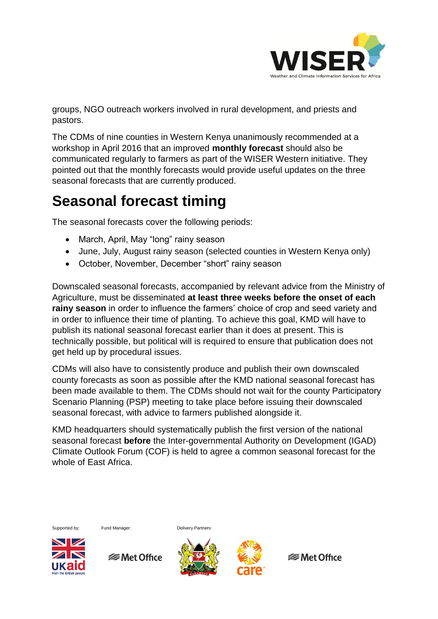

groups, NGO outreach workers involved in rural development, and priests and pastors.

The CDMs of nine counties in Western Kenya unanimously recommended at a workshop in April 2016 that an improved **monthly forecast** should also be communicated regularly to farmers as part of the WISER Western initiative. They pointed out that the monthly forecasts would provide useful updates on the three seasonal forecasts that are currently produced.

# **Seasonal forecast timing**

The seasonal forecasts cover the following periods:

- March, April, May "long" rainy season
- June, July, August rainy season (selected counties in Western Kenya only)
- October, November, December "short" rainy season

Downscaled seasonal forecasts, accompanied by relevant advice from the Ministry of Agriculture, must be disseminated **at least three weeks before the onset of each rainy season** in order to influence the farmers' choice of crop and seed variety and in order to influence their time of planting. To achieve this goal, KMD will have to publish its national seasonal forecast earlier than it does at present. This is technically possible, but political will is required to ensure that publication does not get held up by procedural issues.

CDMs will also have to consistently produce and publish their own downscaled county forecasts as soon as possible after the KMD national seasonal forecast has been made available to them. The CDMs should not wait for the county Participatory Scenario Planning (PSP) meeting to take place before issuing their downscaled seasonal forecast, with advice to farmers published alongside it.

KMD headquarters should systematically publish the first version of the national seasonal forecast **before** the Inter-governmental Authority on Development (IGAD) Climate Outlook Forum (COF) is held to agree a common seasonal forecast for the whole of East Africa.



Supported by: Fund Manager: Delivery Partners:



**<del></del>** Met Office



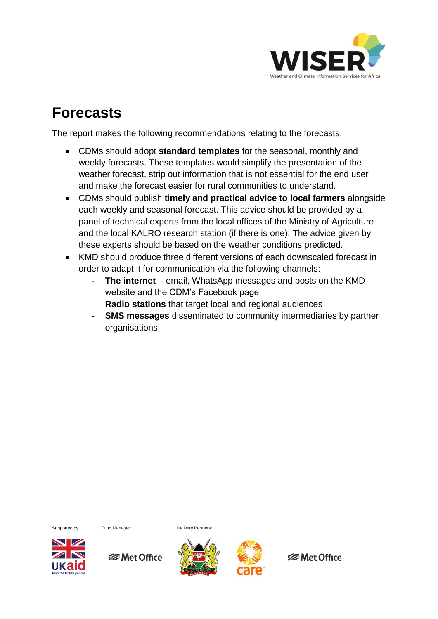

#### **Forecasts**

The report makes the following recommendations relating to the forecasts:

- CDMs should adopt **standard templates** for the seasonal, monthly and weekly forecasts. These templates would simplify the presentation of the weather forecast, strip out information that is not essential for the end user and make the forecast easier for rural communities to understand.
- CDMs should publish **timely and practical advice to local farmers** alongside each weekly and seasonal forecast. This advice should be provided by a panel of technical experts from the local offices of the Ministry of Agriculture and the local KALRO research station (if there is one). The advice given by these experts should be based on the weather conditions predicted.
- KMD should produce three different versions of each downscaled forecast in order to adapt it for communication via the following channels:
	- **The internet** email, WhatsApp messages and posts on the KMD website and the CDM's Facebook page
	- **Radio stations** that target local and regional audiences
	- **SMS messages** disseminated to community intermediaries by partner organisations

Supported by: Fund Manager: Delivery Partners:



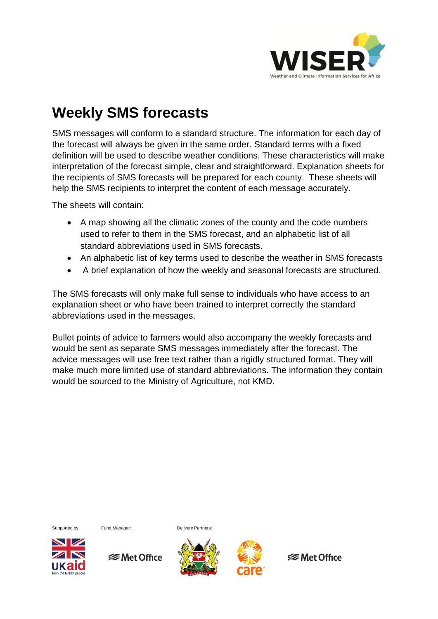

# **Weekly SMS forecasts**

SMS messages will conform to a standard structure. The information for each day of the forecast will always be given in the same order. Standard terms with a fixed definition will be used to describe weather conditions. These characteristics will make interpretation of the forecast simple, clear and straightforward. Explanation sheets for the recipients of SMS forecasts will be prepared for each county. These sheets will help the SMS recipients to interpret the content of each message accurately.

The sheets will contain:

- A map showing all the climatic zones of the county and the code numbers used to refer to them in the SMS forecast, and an alphabetic list of all standard abbreviations used in SMS forecasts.
- An alphabetic list of key terms used to describe the weather in SMS forecasts
- A brief explanation of how the weekly and seasonal forecasts are structured.

The SMS forecasts will only make full sense to individuals who have access to an explanation sheet or who have been trained to interpret correctly the standard abbreviations used in the messages.

Bullet points of advice to farmers would also accompany the weekly forecasts and would be sent as separate SMS messages immediately after the forecast. The advice messages will use free text rather than a rigidly structured format. They will make much more limited use of standard abbreviations. The information they contain would be sourced to the Ministry of Agriculture, not KMD.



Supported by: Fund Manager: Delivery Partners:





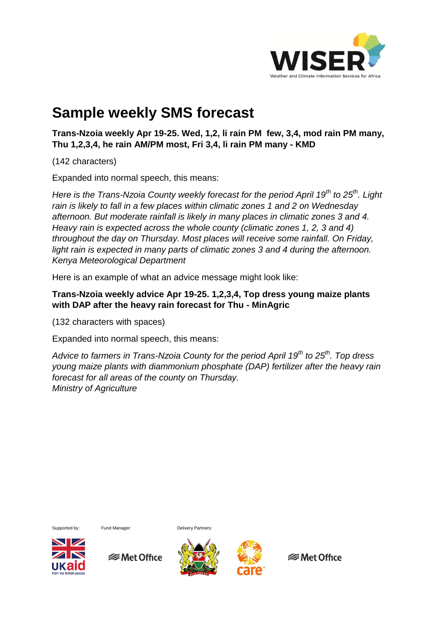

## **Sample weekly SMS forecast**

**Trans-Nzoia weekly Apr 19-25. Wed, 1,2, li rain PM few, 3,4, mod rain PM many, Thu 1,2,3,4, he rain AM/PM most, Fri 3,4, li rain PM many - KMD**

(142 characters)

Expanded into normal speech, this means:

*Here is the Trans-Nzoia County weekly forecast for the period April 19th to 25th. Light rain is likely to fall in a few places within climatic zones 1 and 2 on Wednesday afternoon. But moderate rainfall is likely in many places in climatic zones 3 and 4. Heavy rain is expected across the whole county (climatic zones 1, 2, 3 and 4) throughout the day on Thursday. Most places will receive some rainfall. On Friday, light rain is expected in many parts of climatic zones 3 and 4 during the afternoon. Kenya Meteorological Department*

Here is an example of what an advice message might look like:

#### **Trans-Nzoia weekly advice Apr 19-25. 1,2,3,4, Top dress young maize plants with DAP after the heavy rain forecast for Thu - MinAgric**

(132 characters with spaces)

Expanded into normal speech, this means:

*Advice to farmers in Trans-Nzoia County for the period April 19th to 25th. Top dress young maize plants with diammonium phosphate (DAP) fertilizer after the heavy rain forecast for all areas of the county on Thursday. Ministry of Agriculture* 



Supported by: Fund Manager: Delivery Partners:

**<del></del>** Met Office

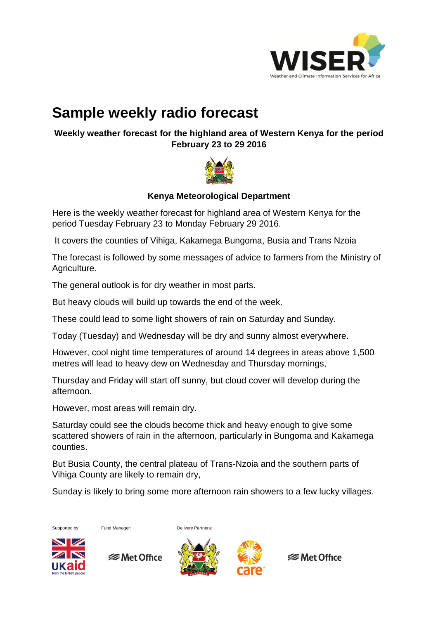

## **Sample weekly radio forecast**

**Weekly weather forecast for the highland area of Western Kenya for the period February 23 to 29 2016**



#### **Kenya Meteorological Department**

Here is the weekly weather forecast for highland area of Western Kenya for the period Tuesday February 23 to Monday February 29 2016.

It covers the counties of Vihiga, Kakamega Bungoma, Busia and Trans Nzoia

The forecast is followed by some messages of advice to farmers from the Ministry of Agriculture.

The general outlook is for dry weather in most parts.

But heavy clouds will build up towards the end of the week.

These could lead to some light showers of rain on Saturday and Sunday.

Today (Tuesday) and Wednesday will be dry and sunny almost everywhere.

However, cool night time temperatures of around 14 degrees in areas above 1,500 metres will lead to heavy dew on Wednesday and Thursday mornings,

Thursday and Friday will start off sunny, but cloud cover will develop during the afternoon.

However, most areas will remain dry.

Saturday could see the clouds become thick and heavy enough to give some scattered showers of rain in the afternoon, particularly in Bungoma and Kakamega counties.

But Busia County, the central plateau of Trans-Nzoia and the southern parts of Vihiga County are likely to remain dry,

Sunday is likely to bring some more afternoon rain showers to a few lucky villages.





**<del></del>** Met Office



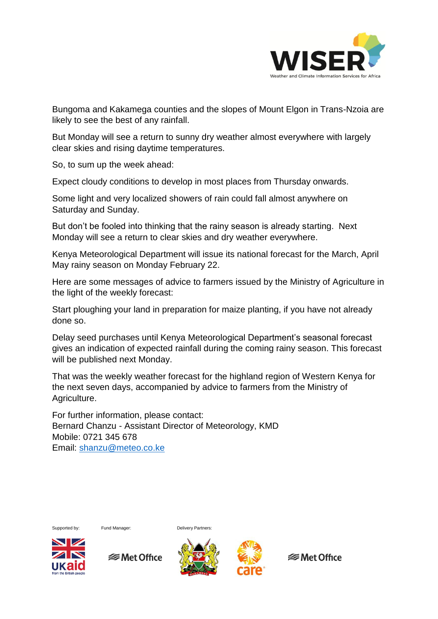

Bungoma and Kakamega counties and the slopes of Mount Elgon in Trans-Nzoia are likely to see the best of any rainfall.

But Monday will see a return to sunny dry weather almost everywhere with largely clear skies and rising daytime temperatures.

So, to sum up the week ahead:

Expect cloudy conditions to develop in most places from Thursday onwards.

Some light and very localized showers of rain could fall almost anywhere on Saturday and Sunday.

But don't be fooled into thinking that the rainy season is already starting. Next Monday will see a return to clear skies and dry weather everywhere.

Kenya Meteorological Department will issue its national forecast for the March, April May rainy season on Monday February 22.

Here are some messages of advice to farmers issued by the Ministry of Agriculture in the light of the weekly forecast:

Start ploughing your land in preparation for maize planting, if you have not already done so.

Delay seed purchases until Kenya Meteorological Department's seasonal forecast gives an indication of expected rainfall during the coming rainy season. This forecast will be published next Monday.

That was the weekly weather forecast for the highland region of Western Kenya for the next seven days, accompanied by advice to farmers from the Ministry of Agriculture.

For further information, please contact: Bernard Chanzu - Assistant Director of Meteorology, KMD Mobile: 0721 345 678 Email: [shanzu@meteo.co.ke](mailto:shanzu@meteo.co.ke) 



**SMet Office** 



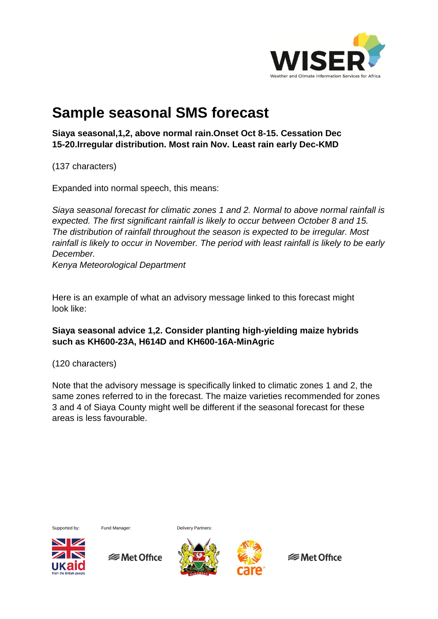

#### **Sample seasonal SMS forecast**

**Siaya seasonal,1,2, above normal rain.Onset Oct 8-15. Cessation Dec 15-20.Irregular distribution. Most rain Nov. Least rain early Dec-KMD**

(137 characters)

Expanded into normal speech, this means:

*Siaya seasonal forecast for climatic zones 1 and 2. Normal to above normal rainfall is expected. The first significant rainfall is likely to occur between October 8 and 15. The distribution of rainfall throughout the season is expected to be irregular. Most*  rainfall is likely to occur in November. The period with least rainfall is likely to be early *December.*

*Kenya Meteorological Department*

Here is an example of what an advisory message linked to this forecast might look like:

#### **Siaya seasonal advice 1,2. Consider planting high-yielding maize hybrids such as KH600-23A, H614D and KH600-16A-MinAgric**

(120 characters)

Note that the advisory message is specifically linked to climatic zones 1 and 2, the same zones referred to in the forecast. The maize varieties recommended for zones 3 and 4 of Siaya County might well be different if the seasonal forecast for these areas is less favourable.



Supported by: Fund Manager: Delivery Partners:





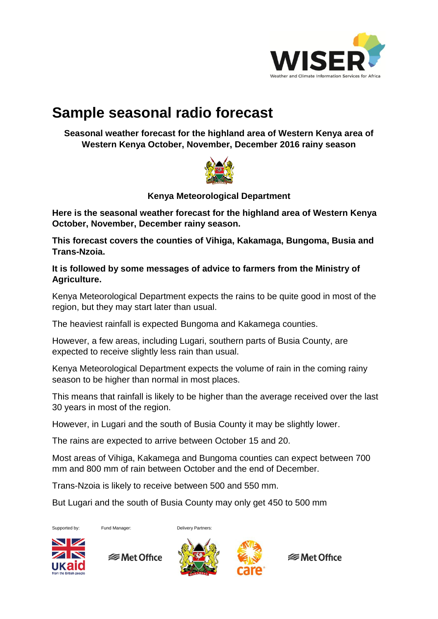

## **Sample seasonal radio forecast**

**Seasonal weather forecast for the highland area of Western Kenya area of Western Kenya October, November, December 2016 rainy season** 



**Kenya Meteorological Department**

**Here is the seasonal weather forecast for the highland area of Western Kenya October, November, December rainy season.**

**This forecast covers the counties of Vihiga, Kakamaga, Bungoma, Busia and Trans-Nzoia.**

**It is followed by some messages of advice to farmers from the Ministry of Agriculture.**

Kenya Meteorological Department expects the rains to be quite good in most of the region, but they may start later than usual.

The heaviest rainfall is expected Bungoma and Kakamega counties.

However, a few areas, including Lugari, southern parts of Busia County, are expected to receive slightly less rain than usual.

Kenya Meteorological Department expects the volume of rain in the coming rainy season to be higher than normal in most places.

This means that rainfall is likely to be higher than the average received over the last 30 years in most of the region.

However, in Lugari and the south of Busia County it may be slightly lower.

The rains are expected to arrive between October 15 and 20.

Most areas of Vihiga, Kakamega and Bungoma counties can expect between 700 mm and 800 mm of rain between October and the end of December.

Trans-Nzoia is likely to receive between 500 and 550 mm.

But Lugari and the south of Busia County may only get 450 to 500 mm





**<del></del>** Met Office



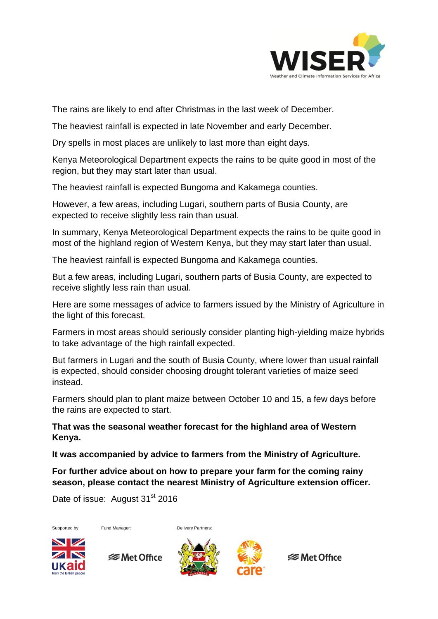

The rains are likely to end after Christmas in the last week of December.

The heaviest rainfall is expected in late November and early December.

Dry spells in most places are unlikely to last more than eight days.

Kenya Meteorological Department expects the rains to be quite good in most of the region, but they may start later than usual.

The heaviest rainfall is expected Bungoma and Kakamega counties.

However, a few areas, including Lugari, southern parts of Busia County, are expected to receive slightly less rain than usual.

In summary, Kenya Meteorological Department expects the rains to be quite good in most of the highland region of Western Kenya, but they may start later than usual.

The heaviest rainfall is expected Bungoma and Kakamega counties.

But a few areas, including Lugari, southern parts of Busia County, are expected to receive slightly less rain than usual.

Here are some messages of advice to farmers issued by the Ministry of Agriculture in the light of this forecast*.*

Farmers in most areas should seriously consider planting high-yielding maize hybrids to take advantage of the high rainfall expected.

But farmers in Lugari and the south of Busia County, where lower than usual rainfall is expected, should consider choosing drought tolerant varieties of maize seed instead.

Farmers should plan to plant maize between October 10 and 15, a few days before the rains are expected to start.

**That was the seasonal weather forecast for the highland area of Western Kenya.**

**It was accompanied by advice to farmers from the Ministry of Agriculture.**

**For further advice about on how to prepare your farm for the coming rainy season, please contact the nearest Ministry of Agriculture extension officer.**

Date of issue: August 31<sup>st</sup> 2016



Supported by: Fund Manager: Delivery Partners:



**SMet Office**